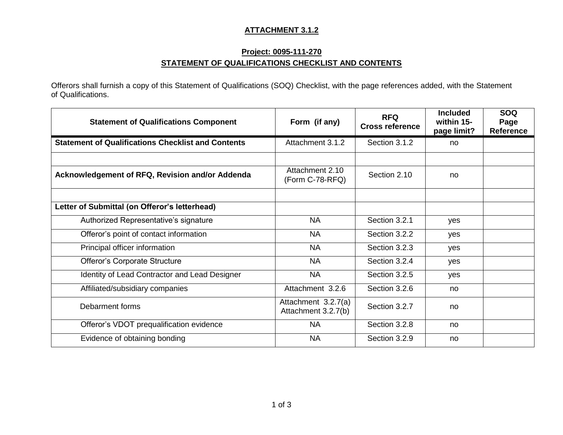#### **ATTACHMENT 3.1.2**

# **Project: 0095-111-270 STATEMENT OF QUALIFICATIONS CHECKLIST AND CONTENTS**

Offerors shall furnish a copy of this Statement of Qualifications (SOQ) Checklist, with the page references added, with the Statement of Qualifications.

| <b>Statement of Qualifications Component</b>              | Form (if any)                              | <b>RFQ</b><br><b>Cross reference</b> | <b>Included</b><br>within 15-<br>page limit? | <b>SOQ</b><br>Page<br><b>Reference</b> |
|-----------------------------------------------------------|--------------------------------------------|--------------------------------------|----------------------------------------------|----------------------------------------|
| <b>Statement of Qualifications Checklist and Contents</b> | Attachment 3.1.2                           | Section 3.1.2                        | no                                           |                                        |
|                                                           |                                            |                                      |                                              |                                        |
| Acknowledgement of RFQ, Revision and/or Addenda           | Attachment 2.10<br>(Form C-78-RFQ)         | Section 2.10                         | no                                           |                                        |
|                                                           |                                            |                                      |                                              |                                        |
| Letter of Submittal (on Offeror's letterhead)             |                                            |                                      |                                              |                                        |
| Authorized Representative's signature                     | <b>NA</b>                                  | Section 3.2.1                        | yes                                          |                                        |
| Offeror's point of contact information                    | <b>NA</b>                                  | Section 3.2.2                        | yes                                          |                                        |
| Principal officer information                             | <b>NA</b>                                  | Section 3.2.3                        | yes                                          |                                        |
| Offeror's Corporate Structure                             | <b>NA</b>                                  | Section 3.2.4                        | yes                                          |                                        |
| Identity of Lead Contractor and Lead Designer             | <b>NA</b>                                  | Section 3.2.5                        | yes                                          |                                        |
| Affiliated/subsidiary companies                           | Attachment 3.2.6                           | Section 3.2.6                        | no                                           |                                        |
| Debarment forms                                           | Attachment 3.2.7(a)<br>Attachment 3.2.7(b) | Section 3.2.7                        | no                                           |                                        |
| Offeror's VDOT prequalification evidence                  | <b>NA</b>                                  | Section 3.2.8                        | no                                           |                                        |
| Evidence of obtaining bonding                             | <b>NA</b>                                  | Section 3.2.9                        | no                                           |                                        |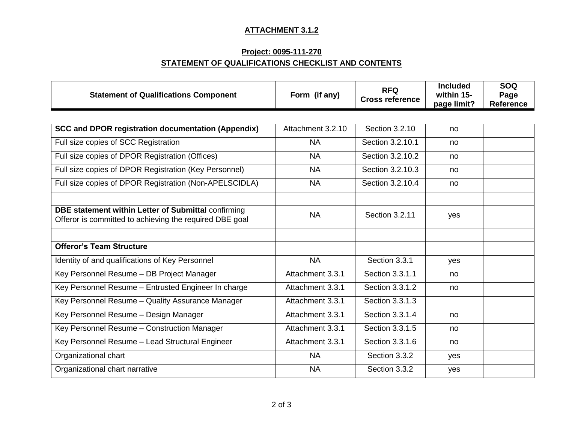# **ATTACHMENT 3.1.2**

# **Project: 0095-111-270 STATEMENT OF QUALIFICATIONS CHECKLIST AND CONTENTS**

| <b>Statement of Qualifications Component</b>                                                                   | Form (if any)     | <b>RFQ</b><br><b>Cross reference</b> | <b>Included</b><br>within 15-<br>page limit? | <b>SOQ</b><br>Page<br><b>Reference</b> |
|----------------------------------------------------------------------------------------------------------------|-------------------|--------------------------------------|----------------------------------------------|----------------------------------------|
|                                                                                                                |                   |                                      |                                              |                                        |
| <b>SCC and DPOR registration documentation (Appendix)</b>                                                      | Attachment 3.2.10 | Section 3.2.10                       | no                                           |                                        |
| Full size copies of SCC Registration                                                                           | <b>NA</b>         | Section 3.2.10.1                     | no                                           |                                        |
| Full size copies of DPOR Registration (Offices)                                                                | <b>NA</b>         | Section 3.2.10.2                     | no                                           |                                        |
| Full size copies of DPOR Registration (Key Personnel)                                                          | <b>NA</b>         | Section 3.2.10.3                     | no                                           |                                        |
| Full size copies of DPOR Registration (Non-APELSCIDLA)                                                         | <b>NA</b>         | Section 3.2.10.4                     | no                                           |                                        |
|                                                                                                                |                   |                                      |                                              |                                        |
| DBE statement within Letter of Submittal confirming<br>Offeror is committed to achieving the required DBE goal | <b>NA</b>         | Section 3.2.11                       | yes                                          |                                        |
|                                                                                                                |                   |                                      |                                              |                                        |
| <b>Offeror's Team Structure</b>                                                                                |                   |                                      |                                              |                                        |
| Identity of and qualifications of Key Personnel                                                                | <b>NA</b>         | Section 3.3.1                        | yes                                          |                                        |
| Key Personnel Resume - DB Project Manager                                                                      | Attachment 3.3.1  | Section 3.3.1.1                      | no                                           |                                        |
| Key Personnel Resume - Entrusted Engineer In charge                                                            | Attachment 3.3.1  | Section 3.3.1.2                      | no                                           |                                        |
| Key Personnel Resume - Quality Assurance Manager                                                               | Attachment 3.3.1  | Section 3.3.1.3                      |                                              |                                        |
| Key Personnel Resume - Design Manager                                                                          | Attachment 3.3.1  | Section 3.3.1.4                      | no                                           |                                        |
| Key Personnel Resume - Construction Manager                                                                    | Attachment 3.3.1  | Section 3.3.1.5                      | no                                           |                                        |
| Key Personnel Resume - Lead Structural Engineer                                                                | Attachment 3.3.1  | Section 3.3.1.6                      | no                                           |                                        |
| Organizational chart                                                                                           | <b>NA</b>         | Section 3.3.2                        | yes                                          |                                        |
| Organizational chart narrative                                                                                 | <b>NA</b>         | Section 3.3.2                        | yes                                          |                                        |